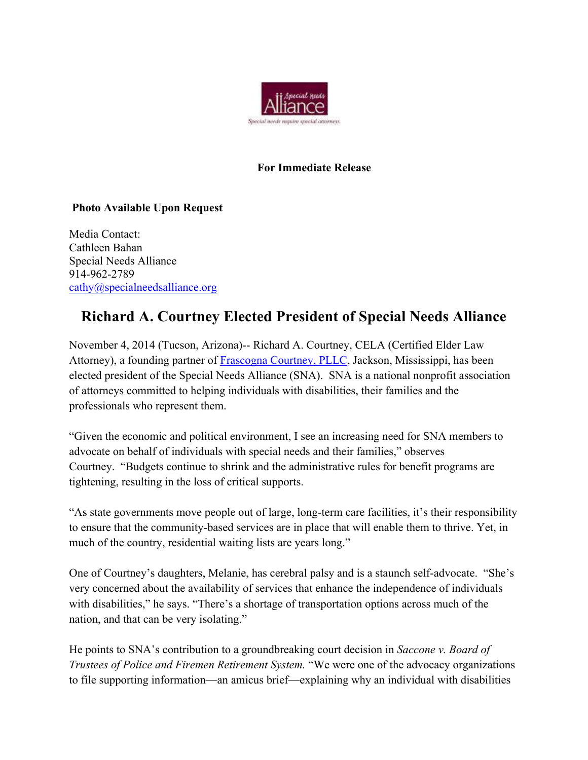

## **For Immediate Release**

## **Photo Available Upon Request**

Media Contact: Cathleen Bahan Special Needs Alliance 914-962-2789 cathy@specialneedsalliance.org

## **Richard A. Courtney Elected President of Special Needs Alliance**

November 4, 2014 (Tucson, Arizona)-- Richard A. Courtney, CELA (Certified Elder Law Attorney), a founding partner of Frascogna Courtney, PLLC, Jackson, Mississippi, has been elected president of the Special Needs Alliance (SNA). SNA is a national nonprofit association of attorneys committed to helping individuals with disabilities, their families and the professionals who represent them.

"Given the economic and political environment, I see an increasing need for SNA members to advocate on behalf of individuals with special needs and their families," observes Courtney. "Budgets continue to shrink and the administrative rules for benefit programs are tightening, resulting in the loss of critical supports.

"As state governments move people out of large, long-term care facilities, it's their responsibility to ensure that the community-based services are in place that will enable them to thrive. Yet, in much of the country, residential waiting lists are years long."

One of Courtney's daughters, Melanie, has cerebral palsy and is a staunch self-advocate. "She's very concerned about the availability of services that enhance the independence of individuals with disabilities," he says. "There's a shortage of transportation options across much of the nation, and that can be very isolating."

He points to SNA's contribution to a groundbreaking court decision in *Saccone v. Board of Trustees of Police and Firemen Retirement System.* "We were one of the advocacy organizations to file supporting information—an amicus brief—explaining why an individual with disabilities